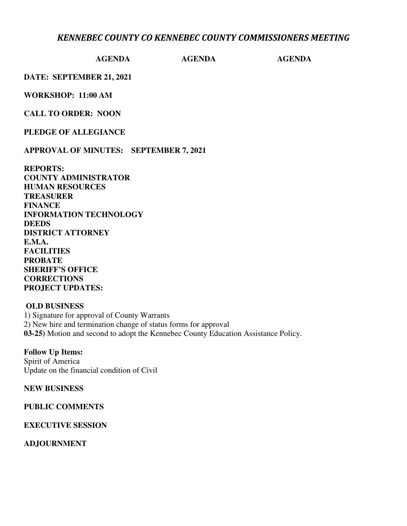## *KENNEBEC COUNTY CO KENNEBEC COUNTY COMMISSIONERS MEETING*

#### **AGENDA AGENDA AGENDA**

**DATE: SEPTEMBER 21, 2021** 

**WORKSHOP: 11:00 AM** 

**CALL TO ORDER: NOON** 

**PLEDGE OF ALLEGIANCE** 

**APPROVAL OF MINUTES: SEPTEMBER 7, 2021** 

**REPORTS: COUNTY ADMINISTRATOR HUMAN RESOURCES TREASURER FINANCE INFORMATION TECHNOLOGY DEEDS DISTRICT ATTORNEY E.M.A. FACILITIES PROBATE SHERIFF'S OFFICE CORRECTIONS PROJECT UPDATES:** 

#### **OLD BUSINESS**

1) Signature for approval of County Warrants 2) New hire and termination change of status forms for approval **03-25)** Motion and second to adopt the Kennebec County Education Assistance Policy.

**Follow Up Items:**  Spirit of America Update on the financial condition of Civil

**NEW BUSINESS** 

**PUBLIC COMMENTS** 

**EXECUTIVE SESSION** 

**ADJOURNMENT**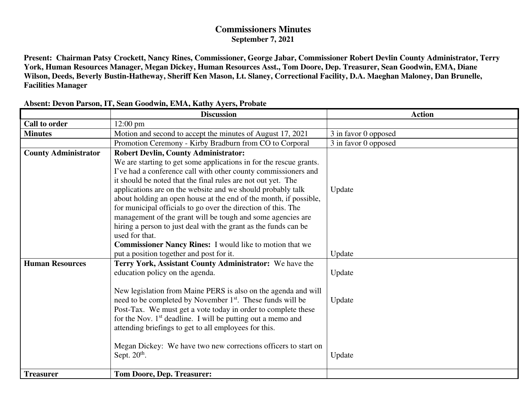# **Commissioners Minutes September 7, 2021**

**Present: Chairman Patsy Crockett, Nancy Rines, Commissioner, George Jabar, Commissioner Robert Devlin County Administrator, Terry York, Human Resources Manager, Megan Dickey, Human Resources Asst., Tom Doore, Dep. Treasurer, Sean Goodwin, EMA, Diane Wilson, Deeds, Beverly Bustin-Hatheway, Sheriff Ken Mason, Lt. Slaney, Correctional Facility, D.A. Maeghan Maloney, Dan Brunelle, Facilities Manager** 

|                             | <b>Discussion</b>                                                                                                                        | <b>Action</b>        |
|-----------------------------|------------------------------------------------------------------------------------------------------------------------------------------|----------------------|
| <b>Call to order</b>        | $12:00 \text{ pm}$                                                                                                                       |                      |
| <b>Minutes</b>              | Motion and second to accept the minutes of August 17, 2021                                                                               | 3 in favor 0 opposed |
|                             | Promotion Ceremony - Kirby Bradburn from CO to Corporal                                                                                  | 3 in favor 0 opposed |
| <b>County Administrator</b> | <b>Robert Devlin, County Administrator:</b>                                                                                              |                      |
|                             | We are starting to get some applications in for the rescue grants.                                                                       |                      |
|                             | I've had a conference call with other county commissioners and                                                                           |                      |
|                             | it should be noted that the final rules are not out yet. The                                                                             |                      |
|                             | applications are on the website and we should probably talk                                                                              | Update               |
|                             | about holding an open house at the end of the month, if possible,                                                                        |                      |
|                             | for municipal officials to go over the direction of this. The                                                                            |                      |
|                             | management of the grant will be tough and some agencies are                                                                              |                      |
|                             | hiring a person to just deal with the grant as the funds can be                                                                          |                      |
|                             | used for that.                                                                                                                           |                      |
|                             | <b>Commissioner Nancy Rines:</b> I would like to motion that we                                                                          |                      |
|                             | put a position together and post for it.                                                                                                 | Update               |
| <b>Human Resources</b>      | Terry York, Assistant County Administrator: We have the                                                                                  |                      |
|                             | education policy on the agenda.                                                                                                          | Update               |
|                             |                                                                                                                                          |                      |
|                             | New legislation from Maine PERS is also on the agenda and will<br>need to be completed by November 1 <sup>st</sup> . These funds will be |                      |
|                             | Post-Tax. We must get a vote today in order to complete these                                                                            | Update               |
|                             | for the Nov. 1 <sup>st</sup> deadline. I will be putting out a memo and                                                                  |                      |
|                             | attending briefings to get to all employees for this.                                                                                    |                      |
|                             |                                                                                                                                          |                      |
|                             | Megan Dickey: We have two new corrections officers to start on                                                                           |                      |
|                             | Sept. $20th$ .                                                                                                                           | Update               |
|                             |                                                                                                                                          |                      |
| <b>Treasurer</b>            | <b>Tom Doore, Dep. Treasurer:</b>                                                                                                        |                      |

### **Absent: Devon Parson, IT, Sean Goodwin, EMA, Kathy Ayers, Probate**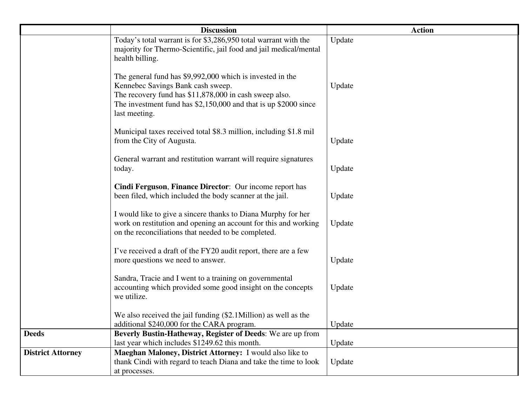|                          | <b>Discussion</b>                                                                                                                                                                                                                              | <b>Action</b> |
|--------------------------|------------------------------------------------------------------------------------------------------------------------------------------------------------------------------------------------------------------------------------------------|---------------|
|                          | Today's total warrant is for \$3,286,950 total warrant with the<br>majority for Thermo-Scientific, jail food and jail medical/mental<br>health billing.                                                                                        | Update        |
|                          | The general fund has \$9,992,000 which is invested in the<br>Kennebec Savings Bank cash sweep.<br>The recovery fund has \$11,878,000 in cash sweep also.<br>The investment fund has $$2,150,000$ and that is up $$2000$ since<br>last meeting. | Update        |
|                          | Municipal taxes received total \$8.3 million, including \$1.8 mil<br>from the City of Augusta.                                                                                                                                                 | Update        |
|                          | General warrant and restitution warrant will require signatures<br>today.                                                                                                                                                                      | Update        |
|                          | Cindi Ferguson, Finance Director: Our income report has<br>been filed, which included the body scanner at the jail.                                                                                                                            | Update        |
|                          | I would like to give a sincere thanks to Diana Murphy for her<br>work on restitution and opening an account for this and working<br>on the reconciliations that needed to be completed.                                                        | Update        |
|                          | I've received a draft of the FY20 audit report, there are a few<br>more questions we need to answer.                                                                                                                                           | Update        |
|                          | Sandra, Tracie and I went to a training on governmental<br>accounting which provided some good insight on the concepts<br>we utilize.                                                                                                          | Update        |
|                          | We also received the jail funding (\$2.1Million) as well as the<br>additional \$240,000 for the CARA program.                                                                                                                                  | Update        |
| <b>Deeds</b>             | Beverly Bustin-Hatheway, Register of Deeds: We are up from<br>last year which includes \$1249.62 this month.                                                                                                                                   |               |
| <b>District Attorney</b> | Maeghan Maloney, District Attorney: I would also like to                                                                                                                                                                                       | Update        |
|                          | thank Cindi with regard to teach Diana and take the time to look<br>at processes.                                                                                                                                                              | Update        |
|                          |                                                                                                                                                                                                                                                |               |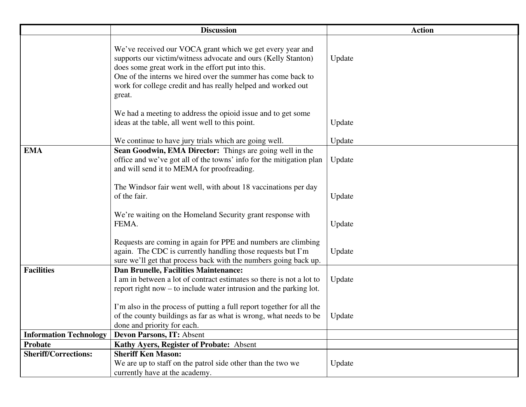|                               | <b>Discussion</b>                                                                                                                                                                                                                                                                                                         | <b>Action</b> |
|-------------------------------|---------------------------------------------------------------------------------------------------------------------------------------------------------------------------------------------------------------------------------------------------------------------------------------------------------------------------|---------------|
|                               | We've received our VOCA grant which we get every year and<br>supports our victim/witness advocate and ours (Kelly Stanton)<br>does some great work in the effort put into this.<br>One of the interns we hired over the summer has come back to<br>work for college credit and has really helped and worked out<br>great. | Update        |
|                               | We had a meeting to address the opioid issue and to get some<br>ideas at the table, all went well to this point.                                                                                                                                                                                                          | Update        |
|                               | We continue to have jury trials which are going well.                                                                                                                                                                                                                                                                     | Update        |
| <b>EMA</b>                    | Sean Goodwin, EMA Director: Things are going well in the<br>office and we've got all of the towns' info for the mitigation plan<br>and will send it to MEMA for proofreading.                                                                                                                                             | Update        |
|                               | The Windsor fair went well, with about 18 vaccinations per day<br>of the fair.                                                                                                                                                                                                                                            | Update        |
|                               | We're waiting on the Homeland Security grant response with<br>FEMA.                                                                                                                                                                                                                                                       | Update        |
|                               | Requests are coming in again for PPE and numbers are climbing<br>again. The CDC is currently handling those requests but I'm<br>sure we'll get that process back with the numbers going back up.                                                                                                                          | Update        |
| <b>Facilities</b>             | <b>Dan Brunelle, Facilities Maintenance:</b><br>I am in between a lot of contract estimates so there is not a lot to<br>report right now – to include water intrusion and the parking lot.                                                                                                                                | Update        |
|                               | I'm also in the process of putting a full report together for all the<br>of the county buildings as far as what is wrong, what needs to be<br>done and priority for each.                                                                                                                                                 | Update        |
| <b>Information Technology</b> | <b>Devon Parsons, IT: Absent</b>                                                                                                                                                                                                                                                                                          |               |
| <b>Probate</b>                | Kathy Ayers, Register of Probate: Absent                                                                                                                                                                                                                                                                                  |               |
| <b>Sheriff/Corrections:</b>   | <b>Sheriff Ken Mason:</b><br>We are up to staff on the patrol side other than the two we<br>currently have at the academy.                                                                                                                                                                                                | Update        |